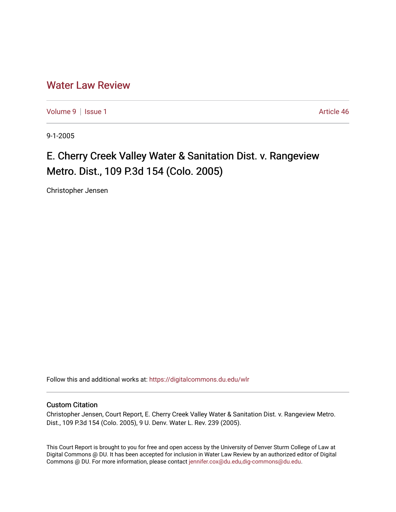## [Water Law Review](https://digitalcommons.du.edu/wlr)

[Volume 9](https://digitalcommons.du.edu/wlr/vol9) | [Issue 1](https://digitalcommons.du.edu/wlr/vol9/iss1) Article 46

9-1-2005

## E. Cherry Creek Valley Water & Sanitation Dist. v. Rangeview Metro. Dist., 109 P.3d 154 (Colo. 2005)

Christopher Jensen

Follow this and additional works at: [https://digitalcommons.du.edu/wlr](https://digitalcommons.du.edu/wlr?utm_source=digitalcommons.du.edu%2Fwlr%2Fvol9%2Fiss1%2F46&utm_medium=PDF&utm_campaign=PDFCoverPages) 

## Custom Citation

Christopher Jensen, Court Report, E. Cherry Creek Valley Water & Sanitation Dist. v. Rangeview Metro. Dist., 109 P.3d 154 (Colo. 2005), 9 U. Denv. Water L. Rev. 239 (2005).

This Court Report is brought to you for free and open access by the University of Denver Sturm College of Law at Digital Commons @ DU. It has been accepted for inclusion in Water Law Review by an authorized editor of Digital Commons @ DU. For more information, please contact [jennifer.cox@du.edu,dig-commons@du.edu.](mailto:jennifer.cox@du.edu,dig-commons@du.edu)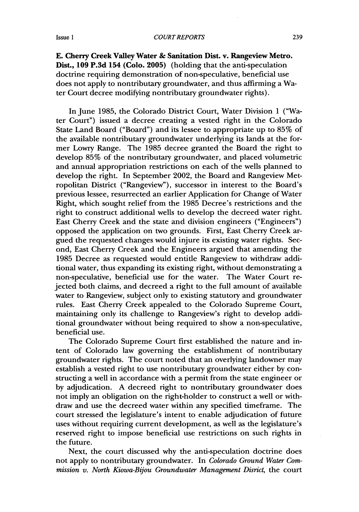*COURT REPORTS*

**E. Cherry Creek Valley Water & Sanitation Dist. v. Rangeview Metro. Dist., 109 P.3d 154 (Colo. 2005)** (holding that the anti-speculation doctrine requiring demonstration of non-speculative, beneficial use does not apply to nontributary groundwater, and thus affirming a Water Court decree modifying nontributary groundwater rights).

In June 1985, the Colorado District Court, Water Division 1 ("Water Court") issued a decree creating a vested right in the Colorado State Land Board ("Board") and its lessee to appropriate up to 85% of the available nontributary groundwater underlying its lands at the former Lowry Range. The 1985 decree granted the Board the right to develop 85% of the nontributary groundwater, and placed volumetric and annual appropriation restrictions on each of the wells planned to develop the right. In September 2002, the Board and Rangeview Metropolitan District ("Rangeview"), successor in interest to the Board's previous lessee, resurrected an earlier Application for Change of Water Right, which sought relief from the 1985 Decree's restrictions and the right to construct additional wells to develop the decreed water right. East Cherry Creek and the state and division engineers ("Engineers") opposed the application on two grounds. First, East Cherry Creek argued the requested changes would injure its existing water rights. Second, East Cherry Creek and the Engineers argued that amending the 1985 Decree as requested would entitle Rangeview to withdraw additional water, thus expanding its existing right, without demonstrating a non-speculative, beneficial use for the water. The Water Court rejected both claims, and decreed a right to the full amount of available water to Rangeview, subject only to existing statutory and groundwater rules. East Cherry Creek appealed to the Colorado Supreme Court, maintaining only its challenge to Rangeview's right to develop additional groundwater without being required to show a non-speculative, beneficial use.

The Colorado Supreme Court first established the nature and intent of Colorado law governing the establishment of nontributary groundwater rights. The court noted that an overlying landowner may establish a vested right to use nontributary groundwater either by constructing a well in accordance with a permit from the state engineer or by adjudication. A decreed right to nontributary groundwater does not imply an obligation on the right-holder to construct a well or withdraw and use the decreed water within any specified timeframe. The court stressed the legislature's intent to enable adjudication of future uses without requiring current development, as well as the legislature's reserved right to impose beneficial use restrictions on such rights in the future.

Next, the court discussed why the anti-speculation doctrine does not apply to nontributary groundwater. In *Colorado Ground Water Commission v. North Kiowa-Bijou Groundwater Management Disrict,* the court